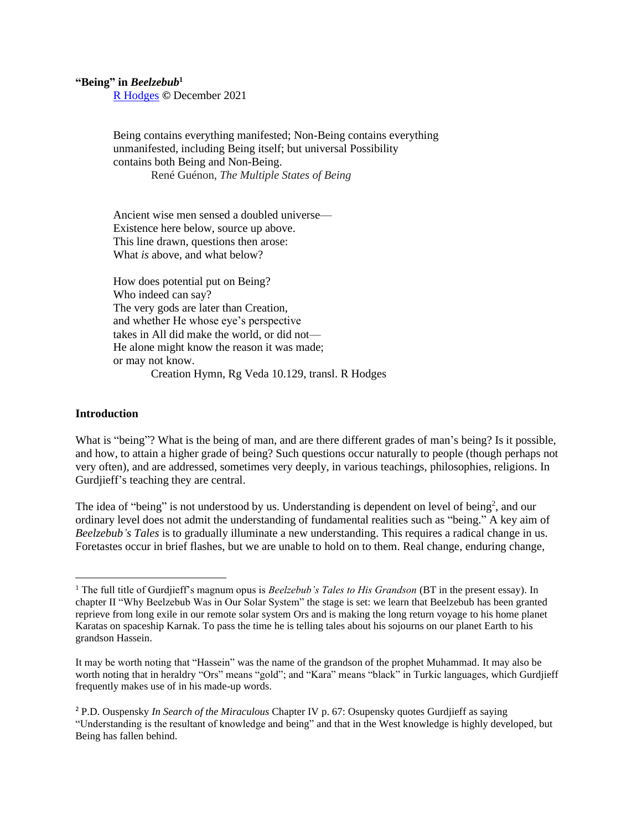**"Being" in** *Beelzebub***<sup>1</sup>**

[R Hodges](http://www.richardhodges.com/) **©** December 2021

Being contains everything manifested; Non-Being contains everything unmanifested, including Being itself; but universal Possibility contains both Being and Non-Being. René Guénon, *The Multiple States of Being*

Ancient wise men sensed a doubled universe— Existence here below, source up above. This line drawn, questions then arose: What *is* above, and what below?

How does potential put on Being? Who indeed can say? The very gods are later than Creation, and whether He whose eye's perspective takes in All did make the world, or did not— He alone might know the reason it was made; or may not know. Creation Hymn, Rg Veda 10.129, transl. R Hodges

## **Introduction**

What is "being"? What is the being of man, and are there different grades of man's being? Is it possible, and how, to attain a higher grade of being? Such questions occur naturally to people (though perhaps not very often), and are addressed, sometimes very deeply, in various teachings, philosophies, religions. In Gurdjieff's teaching they are central.

The idea of "being" is not understood by us. Understanding is dependent on level of being<sup>2</sup>, and our ordinary level does not admit the understanding of fundamental realities such as "being." A key aim of *Beelzebub's Tales* is to gradually illuminate a new understanding. This requires a radical change in us. Foretastes occur in brief flashes, but we are unable to hold on to them. Real change, enduring change,

<sup>&</sup>lt;sup>1</sup> The full title of Gurdjieff's magnum opus is *Beelzebub's Tales to His Grandson* (BT in the present essay). In chapter II "Why Beelzebub Was in Our Solar System" the stage is set: we learn that Beelzebub has been granted reprieve from long exile in our remote solar system Ors and is making the long return voyage to his home planet Karatas on spaceship Karnak. To pass the time he is telling tales about his sojourns on our planet Earth to his grandson Hassein.

It may be worth noting that "Hassein" was the name of the grandson of the prophet Muhammad. It may also be worth noting that in heraldry "Ors" means "gold"; and "Kara" means "black" in Turkic languages, which Gurdjieff frequently makes use of in his made-up words.

<sup>2</sup> P.D. Ouspensky *In Search of the Miraculous* Chapter IV p. 67: Osupensky quotes Gurdjieff as saying "Understanding is the resultant of knowledge and being" and that in the West knowledge is highly developed, but Being has fallen behind.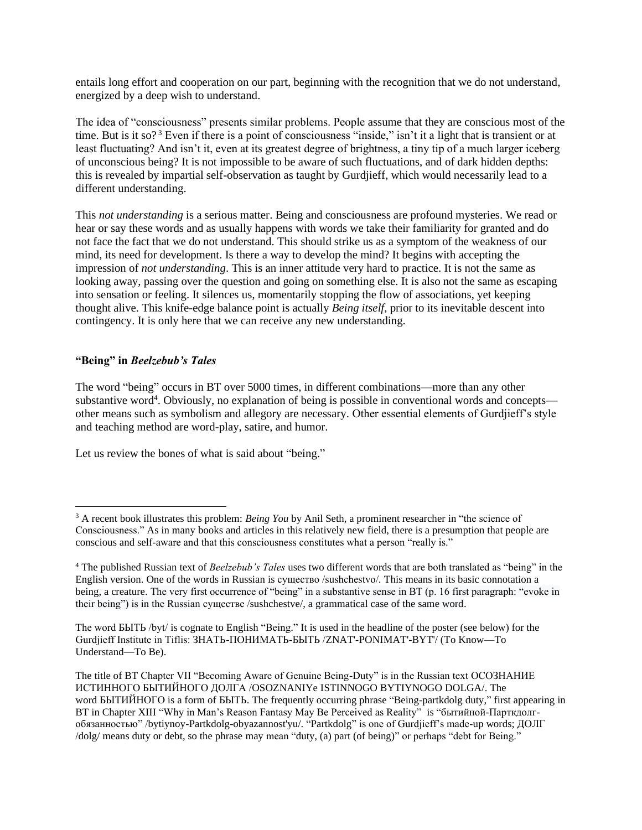entails long effort and cooperation on our part, beginning with the recognition that we do not understand, energized by a deep wish to understand.

The idea of "consciousness" presents similar problems. People assume that they are conscious most of the time. But is it so?<sup>3</sup> Even if there is a point of consciousness "inside," isn't it a light that is transient or at least fluctuating? And isn't it, even at its greatest degree of brightness, a tiny tip of a much larger iceberg of unconscious being? It is not impossible to be aware of such fluctuations, and of dark hidden depths: this is revealed by impartial self-observation as taught by Gurdjieff, which would necessarily lead to a different understanding.

This *not understanding* is a serious matter. Being and consciousness are profound mysteries. We read or hear or say these words and as usually happens with words we take their familiarity for granted and do not face the fact that we do not understand. This should strike us as a symptom of the weakness of our mind, its need for development. Is there a way to develop the mind? It begins with accepting the impression of *not understanding*. This is an inner attitude very hard to practice. It is not the same as looking away, passing over the question and going on something else. It is also not the same as escaping into sensation or feeling. It silences us, momentarily stopping the flow of associations, yet keeping thought alive. This knife-edge balance point is actually *Being itself*, prior to its inevitable descent into contingency. It is only here that we can receive any new understanding.

## **"Being" in** *Beelzebub's Tales*

The word "being" occurs in BT over 5000 times, in different combinations—more than any other substantive word<sup>4</sup>. Obviously, no explanation of being is possible in conventional words and concepts other means such as symbolism and allegory are necessary. Other essential elements of Gurdjieff's style and teaching method are word-play, satire, and humor.

Let us review the bones of what is said about "being."

The word БЫТЬ /byt/ is cognate to English "Being." It is used in the headline of the poster (see below) for the Gurdjieff Institute in Tiflis: ЗНАТЬ-ПОНИМАТЬ-БЫТЬ /ZNAT'-PONIMAT'-BYT'/ (To Know—To Understand—To Be).

The title of BT Chapter VII "Becoming Aware of Genuine Being-Duty" is in the Russian text ОСОЗНАНИЕ ИСТИННОГО БЫТИЙНОГО ДОЛГА /OSOZNANIYe ISTINNOGO BYTIYNOGO DOLGA/. The word БЫТИЙНОГО is a form of БЫТЬ. The frequently occurring phrase "Being-partkdolg duty," first appearing in BT in Chapter XIII "Why in Man's Reason Fantasy May Be Perceived as Reality" is "бытийной-Парткдолгобязанностью" /bytiynoy-Partkdolg-obyazannost'yu/. "Partkdolg" is one of Gurdjieff's made-up words; ДОЛГ /dolg/ means duty or debt, so the phrase may mean "duty, (a) part (of being)" or perhaps "debt for Being."

<sup>&</sup>lt;sup>3</sup> A recent book illustrates this problem: *Being You* by Anil Seth, a prominent researcher in "the science of Consciousness." As in many books and articles in this relatively new field, there is a presumption that people are conscious and self-aware and that this consciousness constitutes what a person "really is."

<sup>4</sup> The published Russian text of *Beelzebub's Tales* uses two different words that are both translated as "being" in the English version. One of the words in Russian is существо /sushchestvo/*.* This means in its basic connotation a being, a creature. The very first occurrence of "being" in a substantive sense in BT (p. 16 first paragraph: "evoke in their being") is in the Russian существе /sushchestve/, a grammatical case of the same word.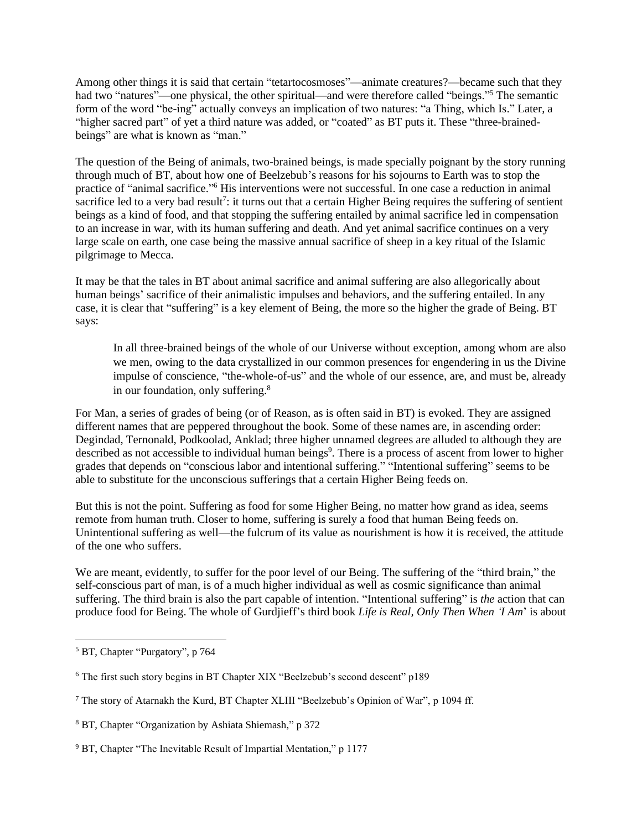Among other things it is said that certain "tetartocosmoses"—animate creatures?—became such that they had two "natures"—one physical, the other spiritual—and were therefore called "beings."<sup>5</sup> The semantic form of the word "be-ing" actually conveys an implication of two natures: "a Thing, which Is." Later, a "higher sacred part" of yet a third nature was added, or "coated" as BT puts it. These "three-brainedbeings" are what is known as "man."

The question of the Being of animals, two-brained beings, is made specially poignant by the story running through much of BT, about how one of Beelzebub's reasons for his sojourns to Earth was to stop the practice of "animal sacrifice." <sup>6</sup> His interventions were not successful. In one case a reduction in animal sacrifice led to a very bad result<sup>7</sup>: it turns out that a certain Higher Being requires the suffering of sentient beings as a kind of food, and that stopping the suffering entailed by animal sacrifice led in compensation to an increase in war, with its human suffering and death. And yet animal sacrifice continues on a very large scale on earth, one case being the massive annual sacrifice of sheep in a key ritual of the Islamic pilgrimage to Mecca.

It may be that the tales in BT about animal sacrifice and animal suffering are also allegorically about human beings' sacrifice of their animalistic impulses and behaviors, and the suffering entailed. In any case, it is clear that "suffering" is a key element of Being, the more so the higher the grade of Being. BT says:

In all three-brained beings of the whole of our Universe without exception, among whom are also we men, owing to the data crystallized in our common presences for engendering in us the Divine impulse of conscience, "the-whole-of-us" and the whole of our essence, are, and must be, already in our foundation, only suffering.<sup>8</sup>

For Man, a series of grades of being (or of Reason, as is often said in BT) is evoked. They are assigned different names that are peppered throughout the book. Some of these names are, in ascending order: Degindad, Ternonald, Podkoolad, Anklad; three higher unnamed degrees are alluded to although they are described as not accessible to individual human beings<sup>9</sup>. There is a process of ascent from lower to higher grades that depends on "conscious labor and intentional suffering." "Intentional suffering" seems to be able to substitute for the unconscious sufferings that a certain Higher Being feeds on.

But this is not the point. Suffering as food for some Higher Being, no matter how grand as idea, seems remote from human truth. Closer to home, suffering is surely a food that human Being feeds on. Unintentional suffering as well—the fulcrum of its value as nourishment is how it is received, the attitude of the one who suffers.

We are meant, evidently, to suffer for the poor level of our Being. The suffering of the "third brain," the self-conscious part of man, is of a much higher individual as well as cosmic significance than animal suffering. The third brain is also the part capable of intention. "Intentional suffering" is *the* action that can produce food for Being. The whole of Gurdjieff's third book *Life is Real, Only Then When 'I Am*' is about

<sup>5</sup> BT, Chapter "Purgatory", p 764

<sup>6</sup> The first such story begins in BT Chapter XIX "Beelzebub's second descent" p189

<sup>7</sup> The story of Atarnakh the Kurd, BT Chapter XLIII "Beelzebub's Opinion of War", p 1094 ff.

<sup>8</sup> BT, Chapter "Organization by Ashiata Shiemash," p 372

<sup>&</sup>lt;sup>9</sup> BT, Chapter "The Inevitable Result of Impartial Mentation," p 1177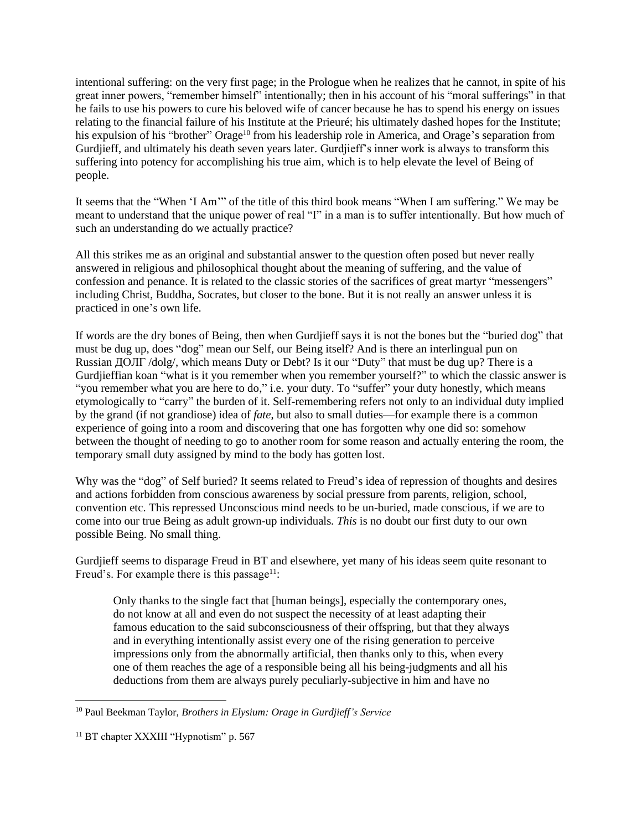intentional suffering: on the very first page; in the Prologue when he realizes that he cannot, in spite of his great inner powers, "remember himself" intentionally; then in his account of his "moral sufferings" in that he fails to use his powers to cure his beloved wife of cancer because he has to spend his energy on issues relating to the financial failure of his Institute at the Prieuré; his ultimately dashed hopes for the Institute; his expulsion of his "brother" Orage<sup>10</sup> from his leadership role in America, and Orage's separation from Gurdjieff, and ultimately his death seven years later. Gurdjieff's inner work is always to transform this suffering into potency for accomplishing his true aim, which is to help elevate the level of Being of people.

It seems that the "When 'I Am'" of the title of this third book means "When I am suffering." We may be meant to understand that the unique power of real "I" in a man is to suffer intentionally. But how much of such an understanding do we actually practice?

All this strikes me as an original and substantial answer to the question often posed but never really answered in religious and philosophical thought about the meaning of suffering, and the value of confession and penance. It is related to the classic stories of the sacrifices of great martyr "messengers" including Christ, Buddha, Socrates, but closer to the bone. But it is not really an answer unless it is practiced in one's own life.

If words are the dry bones of Being, then when Gurdjieff says it is not the bones but the "buried dog" that must be dug up, does "dog" mean our Self, our Being itself? And is there an interlingual pun on Russian  $\text{IOJIT}/\text{dolg}/$ , which means Duty or Debt? Is it our "Duty" that must be dug up? There is a Gurdjieffian koan "what is it you remember when you remember yourself?" to which the classic answer is "you remember what you are here to do," i.e. your duty. To "suffer" your duty honestly, which means etymologically to "carry" the burden of it. Self-remembering refers not only to an individual duty implied by the grand (if not grandiose) idea of *fate*, but also to small duties—for example there is a common experience of going into a room and discovering that one has forgotten why one did so: somehow between the thought of needing to go to another room for some reason and actually entering the room, the temporary small duty assigned by mind to the body has gotten lost.

Why was the "dog" of Self buried? It seems related to Freud's idea of repression of thoughts and desires and actions forbidden from conscious awareness by social pressure from parents, religion, school, convention etc. This repressed Unconscious mind needs to be un-buried, made conscious, if we are to come into our true Being as adult grown-up individuals. *This* is no doubt our first duty to our own possible Being. No small thing.

Gurdjieff seems to disparage Freud in BT and elsewhere, yet many of his ideas seem quite resonant to Freud's. For example there is this passage<sup>11</sup>:

Only thanks to the single fact that [human beings], especially the contemporary ones, do not know at all and even do not suspect the necessity of at least adapting their famous education to the said subconsciousness of their offspring, but that they always and in everything intentionally assist every one of the rising generation to perceive impressions only from the abnormally artificial, then thanks only to this, when every one of them reaches the age of a responsible being all his being-judgments and all his deductions from them are always purely peculiarly-subjective in him and have no

<sup>10</sup> Paul Beekman Taylor, *Brothers in Elysium: Orage in Gurdjieff's Service*

<sup>&</sup>lt;sup>11</sup> BT chapter XXXIII "Hypnotism" p. 567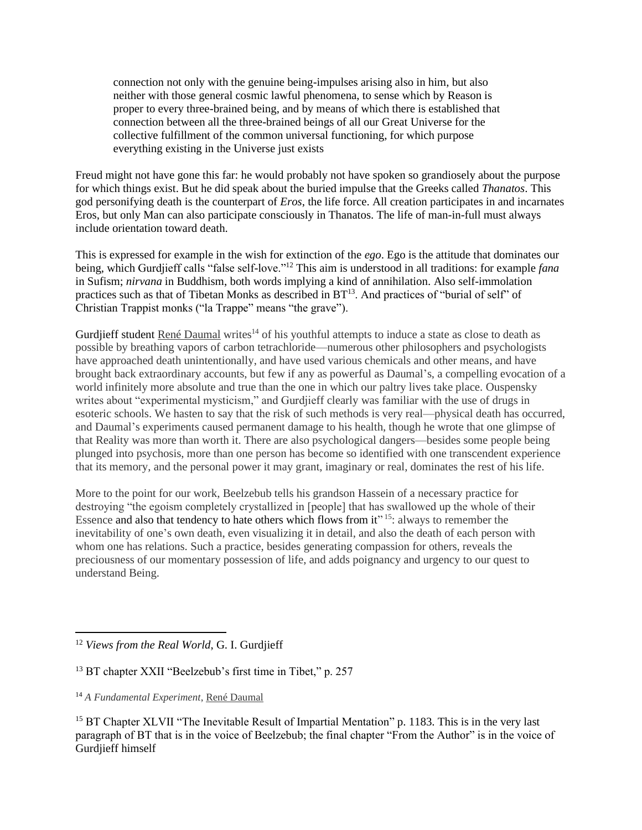connection not only with the genuine being-impulses arising also in him, but also neither with those general cosmic lawful phenomena, to sense which by Reason is proper to every three-brained being, and by means of which there is established that connection between all the three-brained beings of all our Great Universe for the collective fulfillment of the common universal functioning, for which purpose everything existing in the Universe just exists

Freud might not have gone this far: he would probably not have spoken so grandiosely about the purpose for which things exist. But he did speak about the buried impulse that the Greeks called *Thanatos*. This god personifying death is the counterpart of *Eros*, the life force. All creation participates in and incarnates Eros, but only Man can also participate consciously in Thanatos. The life of man-in-full must always include orientation toward death.

This is expressed for example in the wish for extinction of the *ego*. Ego is the attitude that dominates our being, which Gurdjieff calls "false self-love."<sup>12</sup> This aim is understood in all traditions: for example *fana* in Sufism; *nirvana* in Buddhism, both words implying a kind of annihilation. Also self-immolation practices such as that of Tibetan Monks as described in BT<sup>13</sup>. And practices of "burial of self" of Christian Trappist monks ("la Trappe" means "the grave").

Gurdjieff student [René Daumal](https://www.goodreads.com/author/show/3020747.Ren_Daumal) writes<sup>14</sup> of his youthful attempts to induce a state as close to death as possible by breathing vapors of carbon tetrachloride—numerous other philosophers and psychologists have approached death unintentionally, and have used various chemicals and other means, and have brought back extraordinary accounts, but few if any as powerful as Daumal's, a compelling evocation of a world infinitely more absolute and true than the one in which our paltry lives take place. Ouspensky writes about "experimental mysticism," and Gurdjieff clearly was familiar with the use of drugs in esoteric schools. We hasten to say that the risk of such methods is very real—physical death has occurred, and Daumal's experiments caused permanent damage to his health, though he wrote that one glimpse of that Reality was more than worth it. There are also psychological dangers—besides some people being plunged into psychosis, more than one person has become so identified with one transcendent experience that its memory, and the personal power it may grant, imaginary or real, dominates the rest of his life.

More to the point for our work, Beelzebub tells his grandson Hassein of a necessary practice for destroying "the egoism completely crystallized in [people] that has swallowed up the whole of their Essence and also that tendency to hate others which flows from it"<sup>15</sup>: always to remember the inevitability of one's own death, even visualizing it in detail, and also the death of each person with whom one has relations. Such a practice, besides generating compassion for others, reveals the preciousness of our momentary possession of life, and adds poignancy and urgency to our quest to understand Being.

<sup>12</sup> *Views from the Real World*, G. I. Gurdjieff

<sup>&</sup>lt;sup>13</sup> BT chapter XXII "Beelzebub's first time in Tibet," p. 257

<sup>14</sup> *A Fundamental Experiment*[, René Daumal](https://www.goodreads.com/author/show/3020747.Ren_Daumal)

<sup>&</sup>lt;sup>15</sup> BT Chapter XLVII "The Inevitable Result of Impartial Mentation" p. 1183. This is in the very last paragraph of BT that is in the voice of Beelzebub; the final chapter "From the Author" is in the voice of Gurdjieff himself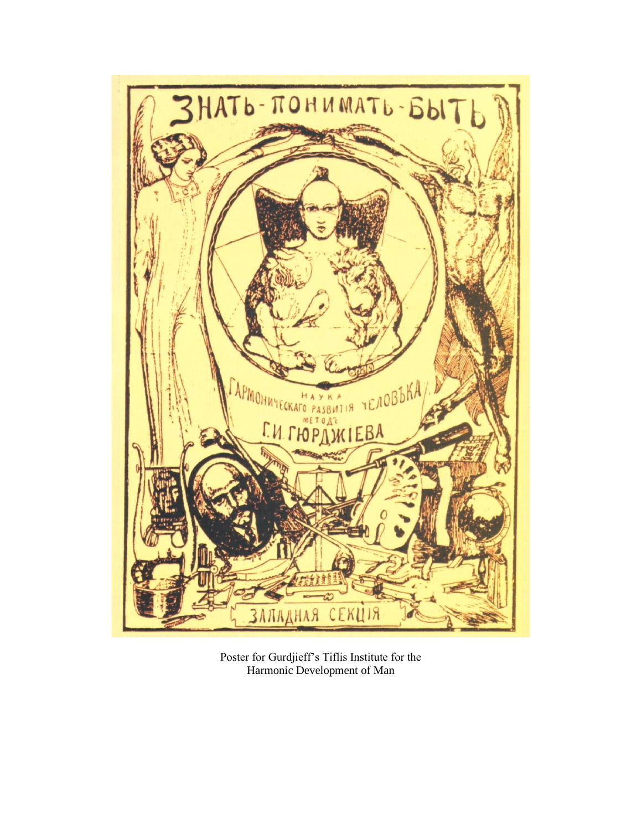

Poster for Gurdjieff's Tiflis Institute for the Harmonic Development of Man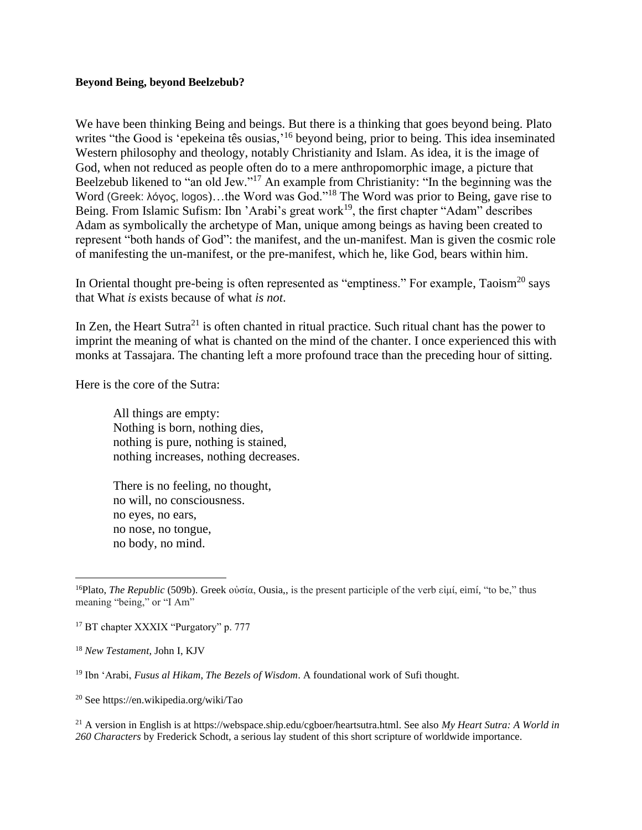## **Beyond Being, beyond Beelzebub?**

We have been thinking Being and beings. But there is a thinking that goes beyond being. Plato writes "the Good is 'epekeina tês ousias,'<sup>16</sup> beyond being, prior to being. This idea inseminated Western philosophy and theology, notably Christianity and Islam. As idea, it is the image of God, when not reduced as people often do to a mere anthropomorphic image, a picture that Beelzebub likened to "an old Jew."<sup>17</sup> An example from Christianity: "In the beginning was the Word (Greek: λόγος, logos)...the Word was God."<sup>18</sup> The Word was prior to Being, gave rise to Being. From Islamic Sufism: Ibn 'Arabi's great work<sup>19</sup>, the first chapter "Adam" describes Adam as symbolically the archetype of Man, unique among beings as having been created to represent "both hands of God": the manifest, and the un-manifest. Man is given the cosmic role of manifesting the un-manifest, or the pre-manifest, which he, like God, bears within him.

In Oriental thought pre-being is often represented as "emptiness." For example, Taoism<sup>20</sup> says that What *is* exists because of what *is not*.

In Zen, the Heart Sutra<sup>21</sup> is often chanted in ritual practice. Such ritual chant has the power to imprint the meaning of what is chanted on the mind of the chanter. I once experienced this with monks at Tassajara. The chanting left a more profound trace than the preceding hour of sitting.

Here is the core of the Sutra:

All things are empty: Nothing is born, nothing dies, nothing is pure, nothing is stained, nothing increases, nothing decreases.

There is no feeling, no thought, no will, no consciousness. no eyes, no ears, no nose, no tongue, no body, no mind.

<sup>21</sup> A version in English is at https://webspace.ship.edu/cgboer/heartsutra.html. See also *My Heart Sutra: A World in 260 Characters* by Frederick Schodt, a serious lay student of this short scripture of worldwide importance.

<sup>16</sup>Plato, *The Republic* (509b). Greek οὐσία, Ousia,, is the present participle of the verb εἰμί, eimí, "to be," thus meaning "being," or "I Am"

<sup>&</sup>lt;sup>17</sup> BT chapter XXXIX "Purgatory" p. 777

<sup>18</sup> *New Testament*, John I, KJV

<sup>19</sup> Ibn 'Arabi, *Fusus al Hikam*, *The Bezels of Wisdom*. A foundational work of Sufi thought.

<sup>20</sup> See https://en.wikipedia.org/wiki/Tao